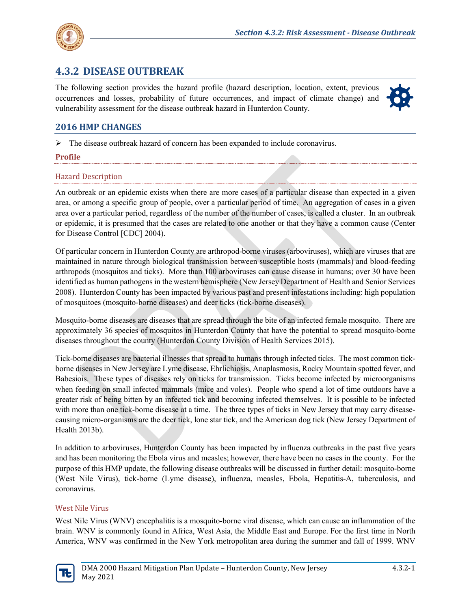

# **4.3.2 DISEASE OUTBREAK**

The following section provides the hazard profile (hazard description, location, extent, previous occurrences and losses, probability of future occurrences, and impact of climate change) and vulnerability assessment for the disease outbreak hazard in Hunterdon County.



# **2016 HMP CHANGES**

 $\triangleright$  The disease outbreak hazard of concern has been expanded to include coronavirus.

## **Profile**

## Hazard Description

An outbreak or an epidemic exists when there are more cases of a particular disease than expected in a given area, or among a specific group of people, over a particular period of time. An aggregation of cases in a given area over a particular period, regardless of the number of the number of cases, is called a cluster. In an outbreak or epidemic, it is presumed that the cases are related to one another or that they have a common cause (Center for Disease Control [CDC] 2004).

Of particular concern in Hunterdon County are arthropod-borne viruses (arboviruses), which are viruses that are maintained in nature through biological transmission between susceptible hosts (mammals) and blood-feeding arthropods (mosquitos and ticks). More than 100 arboviruses can cause disease in humans; over 30 have been identified as human pathogens in the western hemisphere (New Jersey Department of Health and Senior Services 2008). Hunterdon County has been impacted by various past and present infestations including: high population of mosquitoes (mosquito-borne diseases) and deer ticks (tick-borne diseases).

Mosquito-borne diseases are diseases that are spread through the bite of an infected female mosquito. There are approximately 36 species of mosquitos in Hunterdon County that have the potential to spread mosquito-borne diseases throughout the county (Hunterdon County Division of Health Services 2015).

Tick-borne diseases are bacterial illnesses that spread to humans through infected ticks. The most common tickborne diseases in New Jersey are Lyme disease, Ehrlichiosis, Anaplasmosis, Rocky Mountain spotted fever, and Babesiois. These types of diseases rely on ticks for transmission. Ticks become infected by microorganisms when feeding on small infected mammals (mice and voles). People who spend a lot of time outdoors have a greater risk of being bitten by an infected tick and becoming infected themselves. It is possible to be infected with more than one tick-borne disease at a time. The three types of ticks in New Jersey that may carry diseasecausing micro-organisms are the deer tick, lone star tick, and the American dog tick (New Jersey Department of Health 2013b).

In addition to arboviruses, Hunterdon County has been impacted by influenza outbreaks in the past five years and has been monitoring the Ebola virus and measles; however, there have been no cases in the county. For the purpose of this HMP update, the following disease outbreaks will be discussed in further detail: mosquito-borne (West Nile Virus), tick-borne (Lyme disease), influenza, measles, Ebola, Hepatitis-A, tuberculosis, and coronavirus.

## West Nile Virus

West Nile Virus (WNV) encephalitis is a mosquito-borne viral disease, which can cause an inflammation of the brain. WNV is commonly found in Africa, West Asia, the Middle East and Europe. For the first time in North America, WNV was confirmed in the New York metropolitan area during the summer and fall of 1999. WNV

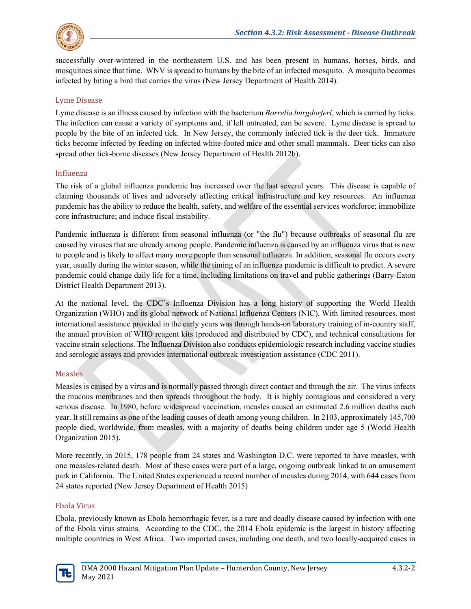

successfully over-wintered in the northeastern U.S. and has been present in humans, horses, birds, and mosquitoes since that time. WNV is spread to humans by the bite of an infected mosquito. A mosquito becomes infected by biting a bird that carries the virus (New Jersey Department of Health 2014).

## Lyme Disease

Lyme disease is an illness caused by infection with the bacterium *Borrelia burgdorferi*, which is carried by ticks. The infection can cause a variety of symptoms and, if left untreated, can be severe. Lyme disease is spread to people by the bite of an infected tick. In New Jersey, the commonly infected tick is the deer tick. Immature ticks become infected by feeding on infected white-footed mice and other small mammals. Deer ticks can also spread other tick-borne diseases (New Jersey Department of Health 2012b).

## Influenza

The risk of a global influenza pandemic has increased over the last several years. This disease is capable of claiming thousands of lives and adversely affecting critical infrastructure and key resources. An influenza pandemic has the ability to reduce the health, safety, and welfare of the essential services workforce; immobilize core infrastructure; and induce fiscal instability.

Pandemic influenza is different from seasonal influenza (or "the flu") because outbreaks of seasonal flu are caused by viruses that are already among people. Pandemic influenza is caused by an influenza virus that is new to people and is likely to affect many more people than seasonal influenza. In addition, seasonal flu occurs every year, usually during the winter season, while the timing of an influenza pandemic is difficult to predict. A severe pandemic could change daily life for a time, including limitations on travel and public gatherings (Barry-Eaton District Health Department 2013).

At the national level, the CDC's Influenza Division has a long history of supporting the World Health Organization (WHO) and its global network of National Influenza Centers (NIC). With limited resources, most international assistance provided in the early years was through hands-on laboratory training of in-country staff, the annual provision of WHO reagent kits (produced and distributed by CDC), and technical consultations for vaccine strain selections. The Influenza Division also conducts epidemiologic research including vaccine studies and serologic assays and provides international outbreak investigation assistance (CDC 2011).

# **Measles**

Measles is caused by a virus and is normally passed through direct contact and through the air. The virus infects the mucous membranes and then spreads throughout the body. It is highly contagious and considered a very serious disease. In 1980, before widespread vaccination, measles caused an estimated 2.6 million deaths each year. It still remains as one of the leading causes of death among young children. In 2103, approximately 145,700 people died, worldwide, from measles, with a majority of deaths being children under age 5 (World Health Organization 2015).

More recently, in 2015, 178 people from 24 states and Washington D.C. were reported to have measles, with one measles-related death. Most of these cases were part of a large, ongoing outbreak linked to an amusement park in California. The United States experienced a record number of measles during 2014, with 644 cases from 24 states reported (New Jersey Department of Health 2015)

## Ebola Virus

Ebola, previously known as Ebola hemorrhagic fever, is a rare and deadly disease caused by infection with one of the Ebola virus strains. According to the CDC, the 2014 Ebola epidemic is the largest in history affecting multiple countries in West Africa. Two imported cases, including one death, and two locally-acquired cases in

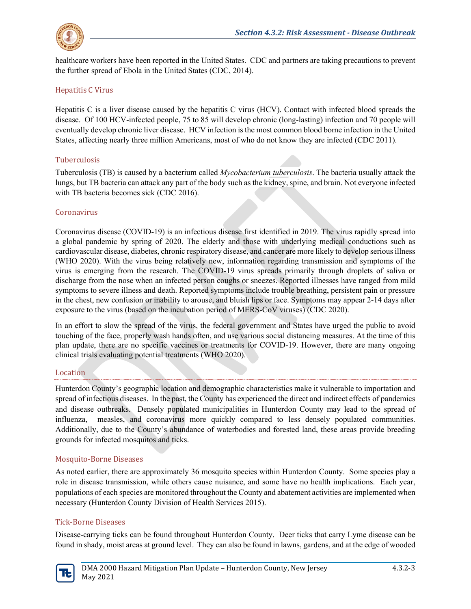

healthcare workers have been reported in the United States. CDC and partners are taking precautions to prevent the further spread of Ebola in the United States (CDC, 2014).

## Hepatitis C Virus

Hepatitis C is a liver disease caused by the hepatitis C virus (HCV). Contact with infected blood spreads the disease. Of 100 HCV-infected people, 75 to 85 will develop chronic (long-lasting) infection and 70 people will eventually develop chronic liver disease. HCV infection is the most common blood borne infection in the United States, affecting nearly three million Americans, most of who do not know they are infected (CDC 2011).

## Tuberculosis

Tuberculosis (TB) is caused by a bacterium called *Mycobacterium tuberculosis*. The bacteria usually attack the lungs, but TB bacteria can attack any part of the body such as the kidney, spine, and brain. Not everyone infected with TB bacteria becomes sick (CDC 2016).

## Coronavirus

Coronavirus disease (COVID-19) is an infectious disease first identified in 2019. The virus rapidly spread into a global pandemic by spring of 2020. The elderly and those with underlying medical conductions such as cardiovascular disease, diabetes, chronic respiratory disease, and cancer are more likely to develop serious illness (WHO 2020). With the virus being relatively new, information regarding transmission and symptoms of the virus is emerging from the research. The COVID-19 virus spreads primarily through droplets of saliva or discharge from the nose when an infected person coughs or sneezes. Reported illnesses have ranged from mild symptoms to severe illness and death. Reported symptoms include trouble breathing, persistent pain or pressure in the chest, new confusion or inability to arouse, and bluish lips or face. Symptoms may appear 2-14 days after exposure to the virus (based on the incubation period of MERS-CoV viruses) (CDC 2020).

In an effort to slow the spread of the virus, the federal government and States have urged the public to avoid touching of the face, properly wash hands often, and use various social distancing measures. At the time of this plan update, there are no specific vaccines or treatments for COVID-19. However, there are many ongoing clinical trials evaluating potential treatments (WHO 2020).

## Location

Hunterdon County's geographic location and demographic characteristics make it vulnerable to importation and spread of infectious diseases. In the past, the County has experienced the direct and indirect effects of pandemics and disease outbreaks. Densely populated municipalities in Hunterdon County may lead to the spread of influenza, measles, and coronavirus more quickly compared to less densely populated communities. Additionally, due to the County's abundance of waterbodies and forested land, these areas provide breeding grounds for infected mosquitos and ticks.

# Mosquito-Borne Diseases

As noted earlier, there are approximately 36 mosquito species within Hunterdon County. Some species play a role in disease transmission, while others cause nuisance, and some have no health implications. Each year, populations of each species are monitored throughout the County and abatement activities are implemented when necessary (Hunterdon County Division of Health Services 2015).

## Tick-Borne Diseases

Disease-carrying ticks can be found throughout Hunterdon County. Deer ticks that carry Lyme disease can be found in shady, moist areas at ground level. They can also be found in lawns, gardens, and at the edge of wooded

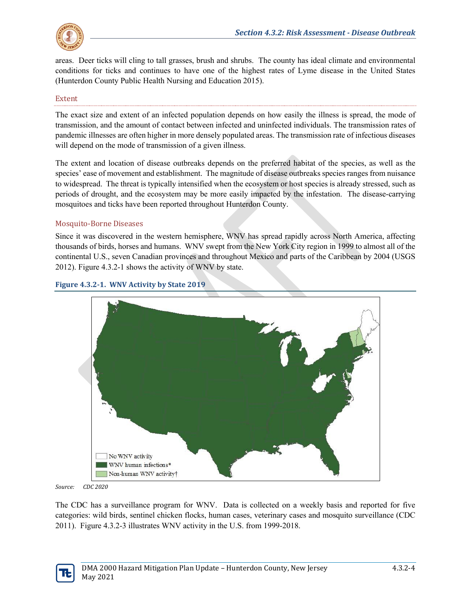

areas. Deer ticks will cling to tall grasses, brush and shrubs. The county has ideal climate and environmental conditions for ticks and continues to have one of the highest rates of Lyme disease in the United States (Hunterdon County Public Health Nursing and Education 2015).

## Extent

The exact size and extent of an infected population depends on how easily the illness is spread, the mode of transmission, and the amount of contact between infected and uninfected individuals. The transmission rates of pandemic illnesses are often higher in more densely populated areas. The transmission rate of infectious diseases will depend on the mode of transmission of a given illness.

The extent and location of disease outbreaks depends on the preferred habitat of the species, as well as the species' ease of movement and establishment. The magnitude of disease outbreaks species ranges from nuisance to widespread. The threat is typically intensified when the ecosystem or host species is already stressed, such as periods of drought, and the ecosystem may be more easily impacted by the infestation. The disease-carrying mosquitoes and ticks have been reported throughout Hunterdon County.

## Mosquito-Borne Diseases

Since it was discovered in the western hemisphere, WNV has spread rapidly across North America, affecting thousands of birds, horses and humans. WNV swept from the New York City region in 1999 to almost all of the continental U.S., seven Canadian provinces and throughout Mexico and parts of the Caribbean by 2004 (USGS 2012). Figure 4.3.2-1 shows the activity of WNV by state.



## **Figure 4.3.2-1. WNV Activity by State 2019**

*Source: CDC 2020* 

The CDC has a surveillance program for WNV. Data is collected on a weekly basis and reported for five categories: wild birds, sentinel chicken flocks, human cases, veterinary cases and mosquito surveillance (CDC 2011). Figure 4.3.2-3 illustrates WNV activity in the U.S. from 1999-2018.

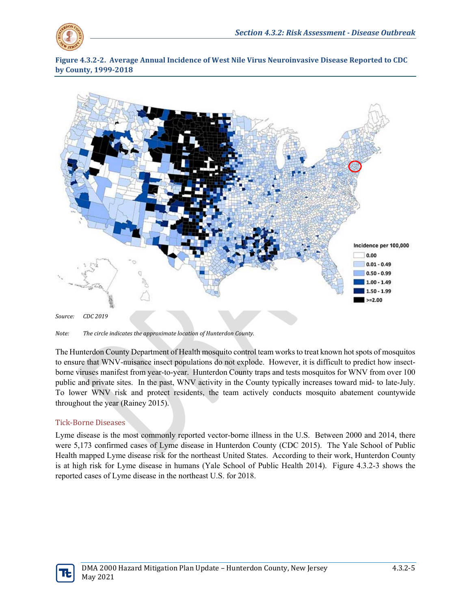

**Figure 4.3.2-2. Average Annual Incidence of West Nile Virus Neuroinvasive Disease Reported to CDC by County, 1999-2018**



*Note: The circle indicates the approximate location of Hunterdon County.* 

The Hunterdon County Department of Health mosquito control team works to treat known hot spots of mosquitos to ensure that WNV-nuisance insect populations do not explode. However, it is difficult to predict how insectborne viruses manifest from year-to-year. Hunterdon County traps and tests mosquitos for WNV from over 100 public and private sites. In the past, WNV activity in the County typically increases toward mid- to late-July. To lower WNV risk and protect residents, the team actively conducts mosquito abatement countywide throughout the year (Rainey 2015).

## Tick-Borne Diseases

Lyme disease is the most commonly reported vector-borne illness in the U.S. Between 2000 and 2014, there were 5,173 confirmed cases of Lyme disease in Hunterdon County (CDC 2015). The Yale School of Public Health mapped Lyme disease risk for the northeast United States. According to their work, Hunterdon County is at high risk for Lyme disease in humans (Yale School of Public Health 2014). [Figure 4.3.2-3](#page-5-0) shows the reported cases of Lyme disease in the northeast U.S. for 2018.

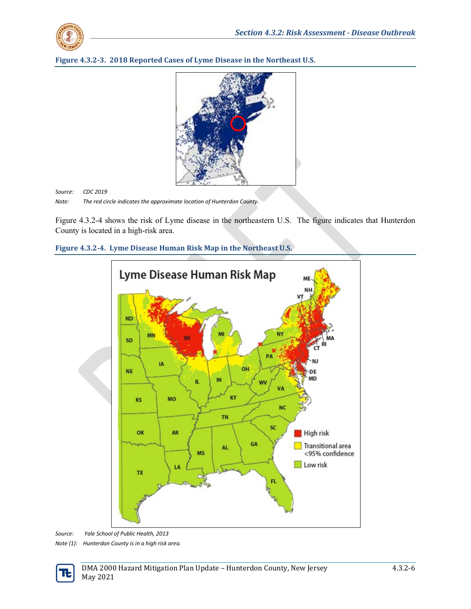

<span id="page-5-0"></span>



*Source: CDC 2019 Note: The red circle indicates the approximate location of Hunterdon County.*

[Figure 4.3.2-4](#page-5-1) shows the risk of Lyme disease in the northeastern U.S. The figure indicates that Hunterdon County is located in a high-risk area.

<span id="page-5-1"></span>



*Source: Yale School of Public Health, 2013 Note (1): Hunterdon County is in a high risk area.* 

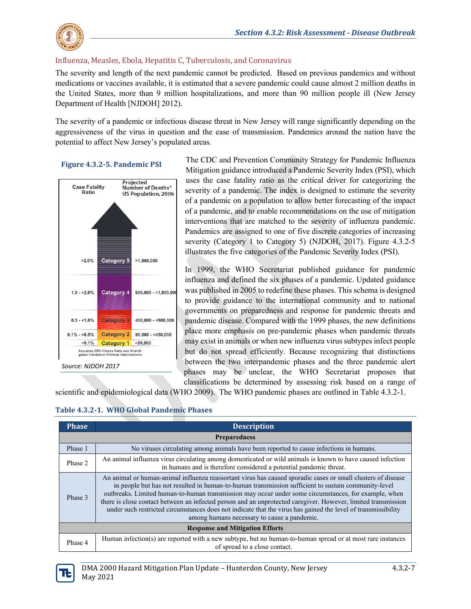

## Influenza, Measles, Ebola, Hepatitis C, Tuberculosis, and Coronavirus

The severity and length of the next pandemic cannot be predicted. Based on previous pandemics and without medications or vaccines available, it is estimated that a severe pandemic could cause almost 2 million deaths in the United States, more than 9 million hospitalizations, and more than 90 million people ill (New Jersey Department of Health [NJDOH] 2012).

The severity of a pandemic or infectious disease threat in New Jersey will range significantly depending on the aggressiveness of the virus in question and the ease of transmission. Pandemics around the nation have the potential to affect New Jersey's populated areas.

#### **Figure 4.3.2-5. Pandemic PSI**



The CDC and Prevention Community Strategy for Pandemic Influenza Mitigation guidance introduced a Pandemic Severity Index (PSI), which uses the case fatality ratio as the critical driver for categorizing the severity of a pandemic. The index is designed to estimate the severity of a pandemic on a population to allow better forecasting of the impact of a pandemic, and to enable recommendations on the use of mitigation interventions that are matched to the severity of influenza pandemic. Pandemics are assigned to one of five discrete categories of increasing severity (Category 1 to Category 5) (NJDOH, 2017). Figure 4.3.2-5 illustrates the five categories of the Pandemic Severity Index (PSI).

In 1999, the WHO Secretariat published guidance for pandemic influenza and defined the six phases of a pandemic. Updated guidance was published in 2005 to redefine these phases. This schema is designed to provide guidance to the international community and to national governments on preparedness and response for pandemic threats and pandemic disease. Compared with the 1999 phases, the new definitions place more emphasis on pre-pandemic phases when pandemic threats may exist in animals or when new influenza virus subtypes infect people but do not spread efficiently. Because recognizing that distinctions between the two interpandemic phases and the three pandemic alert phases may be unclear, the WHO Secretariat proposes that classifications be determined by assessing risk based on a range of

scientific and epidemiological data (WHO 2009). The WHO pandemic phases are outlined in [Table 4.3.2-1.](#page-6-0)

<span id="page-6-0"></span>

| Table 4.3.2-1. WHO Global Pandemic Phases |  |  |  |  |
|-------------------------------------------|--|--|--|--|
|-------------------------------------------|--|--|--|--|

| <b>Phase</b>                           | <b>Description</b>                                                                                                                                                                                                                                                                                                                                                                                                                                                                                                                                                                                           |  |  |  |  |
|----------------------------------------|--------------------------------------------------------------------------------------------------------------------------------------------------------------------------------------------------------------------------------------------------------------------------------------------------------------------------------------------------------------------------------------------------------------------------------------------------------------------------------------------------------------------------------------------------------------------------------------------------------------|--|--|--|--|
|                                        | <b>Preparedness</b>                                                                                                                                                                                                                                                                                                                                                                                                                                                                                                                                                                                          |  |  |  |  |
| Phase 1                                | No viruses circulating among animals have been reported to cause infections in humans.                                                                                                                                                                                                                                                                                                                                                                                                                                                                                                                       |  |  |  |  |
| Phase 2                                | An animal influenza virus circulating among domesticated or wild animals is known to have caused infection<br>in humans and is therefore considered a potential pandemic threat.                                                                                                                                                                                                                                                                                                                                                                                                                             |  |  |  |  |
| Phase 3                                | An animal or human-animal influenza reassortant virus has caused sporadic cases or small clusters of disease<br>in people but has not resulted in human-to-human transmission sufficient to sustain community-level<br>outbreaks. Limited human-to-human transmission may occur under some circumstances, for example, when<br>there is close contact between an infected person and an unprotected caregiver. However, limited transmission<br>under such restricted circumstances does not indicate that the virus has gained the level of transmissibility<br>among humans necessary to cause a pandemic. |  |  |  |  |
| <b>Response and Mitigation Efforts</b> |                                                                                                                                                                                                                                                                                                                                                                                                                                                                                                                                                                                                              |  |  |  |  |
| Phase 4                                | Human infection(s) are reported with a new subtype, but no human-to-human spread or at most rare instances<br>of spread to a close contact.                                                                                                                                                                                                                                                                                                                                                                                                                                                                  |  |  |  |  |

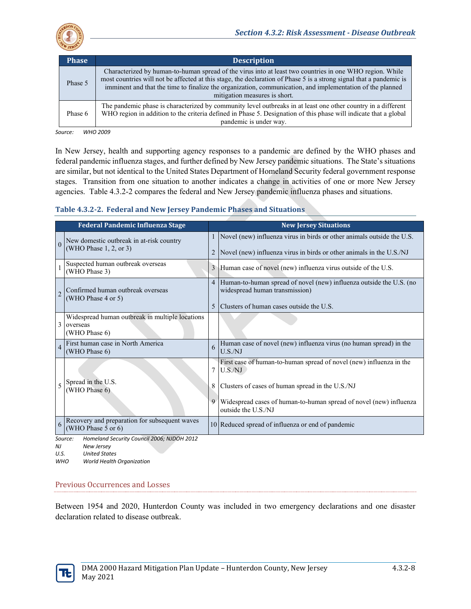

| <b>Phase</b> | <b>Description</b>                                                                                                                                                                                                                                                                                                                                                            |
|--------------|-------------------------------------------------------------------------------------------------------------------------------------------------------------------------------------------------------------------------------------------------------------------------------------------------------------------------------------------------------------------------------|
| Phase 5      | Characterized by human-to-human spread of the virus into at least two countries in one WHO region. While<br>most countries will not be affected at this stage, the declaration of Phase 5 is a strong signal that a pandemic is<br>imminent and that the time to finalize the organization, communication, and implementation of the planned<br>mitigation measures is short. |
| Phase 6      | The pandemic phase is characterized by community level outbreaks in at least one other country in a different<br>WHO region in addition to the criteria defined in Phase 5. Designation of this phase will indicate that a global<br>pandemic is under way.                                                                                                                   |

*Source: WHO 2009*

In New Jersey, health and supporting agency responses to a pandemic are defined by the WHO phases and federal pandemic influenza stages, and further defined by New Jersey pandemic situations. The State's situations are similar, but not identical to the United States Department of Homeland Security federal government response stages. Transition from one situation to another indicates a change in activities of one or more New Jersey agencies. Table 4.3.2-2 compares the federal and New Jersey pandemic influenza phases and situations.

## **Table 4.3.2-2. Federal and New Jersey Pandemic Phases and Situations**

|                | <b>Federal Pandemic Influenza Stage</b>                                                  |        | <b>New Jersey Situations</b>                                                                                                                      |
|----------------|------------------------------------------------------------------------------------------|--------|---------------------------------------------------------------------------------------------------------------------------------------------------|
|                | New domestic outbreak in at-risk country<br>(WHO Phase 1, 2, or 3)                       |        | Novel (new) influenza virus in birds or other animals outside the U.S.<br>Novel (new) influenza virus in birds or other animals in the U.S./NJ    |
|                | Suspected human outbreak overseas<br>(WHO Phase 3)                                       | 3      | Human case of novel (new) influenza virus outside of the U.S.                                                                                     |
|                | Confirmed human outbreak overseas<br>(WHO Phase 4 or 5)                                  | 4<br>5 | Human-to-human spread of novel (new) influenza outside the U.S. (no<br>widespread human transmission)<br>Clusters of human cases outside the U.S. |
| 3              | Widespread human outbreak in multiple locations<br>overseas<br>(WHO Phase 6)             |        |                                                                                                                                                   |
| $\overline{4}$ | First human case in North America<br>(WHO Phase 6)                                       | 6      | Human case of novel (new) influenza virus (no human spread) in the<br>U.S./NJ                                                                     |
|                |                                                                                          | 7      | First case of human-to-human spread of novel (new) influenza in the<br>U.S./NJ                                                                    |
|                | Spread in the U.S.<br>(WHO Phase 6)                                                      | 8      | Clusters of cases of human spread in the U.S./NJ                                                                                                  |
|                |                                                                                          | 9      | Widespread cases of human-to-human spread of novel (new) influenza<br>outside the U.S./NJ                                                         |
| 6              | Recovery and preparation for subsequent waves<br>(WHO Phase 5 or 6)                      |        | 10 Reduced spread of influenza or end of pandemic                                                                                                 |
| NJ             | Source:<br>Homeland Security Council 2006; NJDOH 2012<br>New Jersey<br>$\cdots$ $\cdots$ |        |                                                                                                                                                   |

*U.S. United States WHO World Health Organization* 

# Previous Occurrences and Losses

Between 1954 and 2020, Hunterdon County was included in two emergency declarations and one disaster declaration related to disease outbreak.

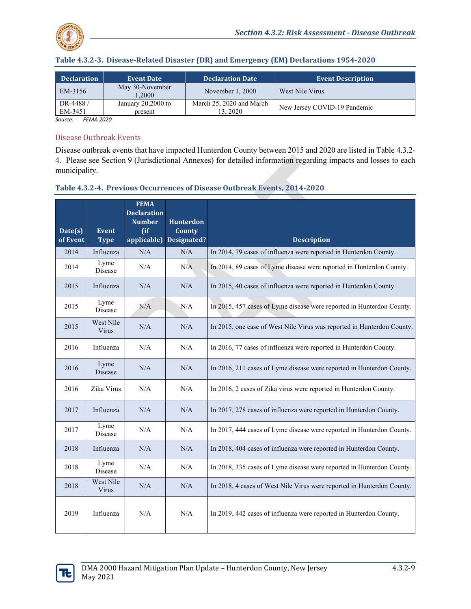

| <b>Declaration</b>  | <b>Event Date</b>               | <b>Declaration Date</b>             | <b>Event Description</b>     |
|---------------------|---------------------------------|-------------------------------------|------------------------------|
| EM-3156             | May 30-November<br>0.2000       | November 1, 2000                    | West Nile Virus              |
| DR-4488/<br>EM-3451 | January $20,2000$ to<br>present | March 25, 2020 and March<br>13.2020 | New Jersey COVID-19 Pandemic |

*Source: FEMA 2020*

#### Disease Outbreak Events

Disease outbreak events that have impacted Hunterdon County between 2015 and 2020 are listed in Table 4.3.2- 4. Please see Section 9 (Jurisdictional Annexes) for detailed information regarding impacts and losses to each municipality.

## **Table 4.3.2-4. Previous Occurrences of Disease Outbreak Events, 2014-2020**

| Date(s)<br>of Event | <b>Event</b><br><b>Type</b> | <b>FEMA</b><br><b>Declaration</b><br><b>Number</b><br>$($ if<br>applicable) | <b>Hunterdon</b><br><b>County</b><br><b>Designated?</b> | <b>Description</b>                                                     |
|---------------------|-----------------------------|-----------------------------------------------------------------------------|---------------------------------------------------------|------------------------------------------------------------------------|
| 2014                | Influenza                   | N/A                                                                         | N/A                                                     | In 2014, 79 cases of influenza were reported in Hunterdon County.      |
| 2014                | Lyme<br>Disease             | N/A                                                                         | N/A                                                     | In 2014, 89 cases of Lyme disease were reported in Hunterdon County.   |
| 2015                | Influenza                   | N/A                                                                         | N/A                                                     | In 2015, 40 cases of influenza were reported in Hunterdon County.      |
| 2015                | Lyme<br>Disease             | N/A                                                                         | N/A                                                     | In 2015, 457 cases of Lyme disease were reported in Hunterdon County.  |
| 2015                | West Nile<br>Virus          | N/A                                                                         | N/A                                                     | In 2015, one case of West Nile Virus was reported in Hunterdon County. |
| 2016                | Influenza                   | N/A                                                                         | N/A                                                     | In 2016, 77 cases of influenza were reported in Hunterdon County.      |
| 2016                | Lyme<br>Disease             | N/A                                                                         | N/A                                                     | In 2016, 211 cases of Lyme disease were reported in Hunterdon County.  |
| 2016                | Zika Virus                  | N/A                                                                         | N/A                                                     | In 2016, 2 cases of Zika virus were reported in Hunterdon County.      |
| 2017                | Influenza                   | N/A                                                                         | N/A                                                     | In 2017, 278 cases of influenza were reported in Hunterdon County.     |
| 2017                | Lyme<br>Disease             | N/A                                                                         | N/A                                                     | In 2017, 444 cases of Lyme disease were reported in Hunterdon County.  |
| 2018                | Influenza                   | N/A                                                                         | N/A                                                     | In 2018, 404 cases of influenza were reported in Hunterdon County.     |
| 2018                | Lyme<br>Disease             | $\rm N/A$                                                                   | N/A                                                     | In 2018, 335 cases of Lyme disease were reported in Hunterdon County.  |
| 2018                | West Nile<br>Virus          | N/A                                                                         | N/A                                                     | In 2018, 4 cases of West Nile Virus were reported in Hunterdon County. |
| 2019                | Influenza                   | N/A                                                                         | N/A                                                     | In 2019, 442 cases of influenza were reported in Hunterdon County.     |

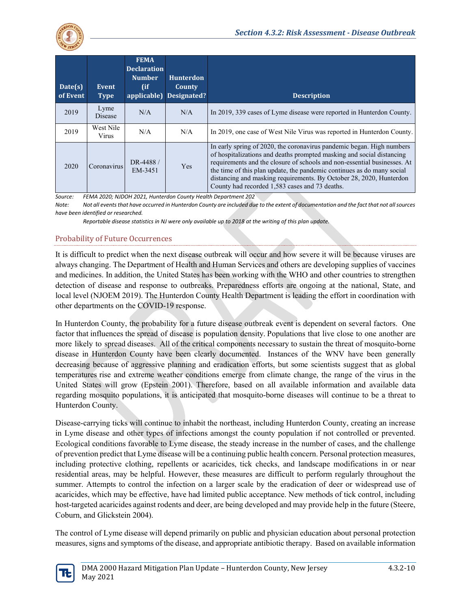

| Date(s)<br>of Event | Event<br><b>Type</b> | <b>FEMA</b><br><b>Declaration</b><br><b>Number</b><br>(if | <b>Hunterdon</b><br>County<br>applicable) Designated? | <b>Description</b>                                                                                                                                                                                                                                                                                                                                                                                                            |
|---------------------|----------------------|-----------------------------------------------------------|-------------------------------------------------------|-------------------------------------------------------------------------------------------------------------------------------------------------------------------------------------------------------------------------------------------------------------------------------------------------------------------------------------------------------------------------------------------------------------------------------|
| 2019                | Lyme<br>Disease      | N/A                                                       | N/A                                                   | In 2019, 339 cases of Lyme disease were reported in Hunterdon County.                                                                                                                                                                                                                                                                                                                                                         |
| 2019                | West Nile<br>Virus   | N/A                                                       | N/A                                                   | In 2019, one case of West Nile Virus was reported in Hunterdon County.                                                                                                                                                                                                                                                                                                                                                        |
| 2020                | Coronavirus          | DR-4488/<br>EM-3451                                       | <b>Yes</b>                                            | In early spring of 2020, the coronavirus pandemic began. High numbers<br>of hospitalizations and deaths prompted masking and social distancing<br>requirements and the closure of schools and non-essential businesses. At<br>the time of this plan update, the pandemic continues as do many social<br>distancing and masking requirements. By October 28, 2020, Hunterdon<br>County had recorded 1,583 cases and 73 deaths. |

*Source: FEMA 2020; NJDOH 2021, Hunterdon County Health Department 202*

*Note: Not all events that have occurred in Hunterdon County are included due to the extent of documentation and the fact that not all sources have been identified or researched.*

*Reportable disease statistics in NJ were only available up to 2018 at the writing of this plan update.*

## Probability of Future Occurrences

It is difficult to predict when the next disease outbreak will occur and how severe it will be because viruses are always changing. The Department of Health and Human Services and others are developing supplies of vaccines and medicines. In addition, the United States has been working with the WHO and other countries to strengthen detection of disease and response to outbreaks. Preparedness efforts are ongoing at the national, State, and local level (NJOEM 2019). The Hunterdon County Health Department is leading the effort in coordination with other departments on the COVID-19 response.

In Hunterdon County, the probability for a future disease outbreak event is dependent on several factors. One factor that influences the spread of disease is population density. Populations that live close to one another are more likely to spread diseases. All of the critical components necessary to sustain the threat of mosquito-borne disease in Hunterdon County have been clearly documented. Instances of the WNV have been generally decreasing because of aggressive planning and eradication efforts, but some scientists suggest that as global temperatures rise and extreme weather conditions emerge from climate change, the range of the virus in the United States will grow (Epstein 2001). Therefore, based on all available information and available data regarding mosquito populations, it is anticipated that mosquito-borne diseases will continue to be a threat to Hunterdon County.

Disease-carrying ticks will continue to inhabit the northeast, including Hunterdon County, creating an increase in Lyme disease and other types of infections amongst the county population if not controlled or prevented. Ecological conditions favorable to Lyme disease, the steady increase in the number of cases, and the challenge of prevention predict that Lyme disease will be a continuing public health concern. Personal protection measures, including protective clothing, repellents or acaricides, tick checks, and landscape modifications in or near residential areas, may be helpful. However, these measures are difficult to perform regularly throughout the summer. Attempts to control the infection on a larger scale by the eradication of deer or widespread use of acaricides, which may be effective, have had limited public acceptance. New methods of tick control, including host-targeted acaricides against rodents and deer, are being developed and may provide help in the future (Steere, Coburn, and Glickstein 2004).

The control of Lyme disease will depend primarily on public and physician education about personal protection measures, signs and symptoms of the disease, and appropriate antibiotic therapy. Based on available information

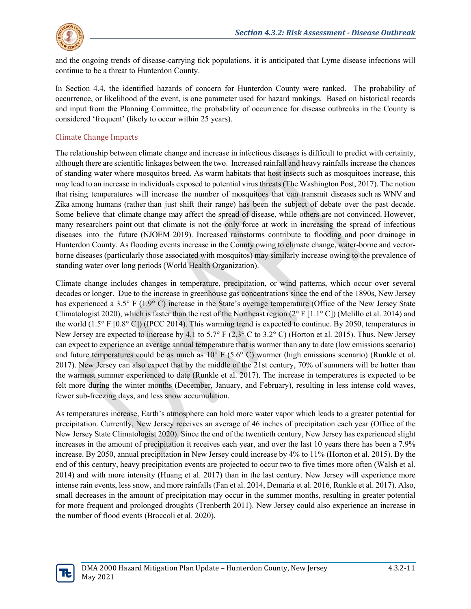

and the ongoing trends of disease-carrying tick populations, it is anticipated that Lyme disease infections will continue to be a threat to Hunterdon County.

In Section 4.4, the identified hazards of concern for Hunterdon County were ranked. The probability of occurrence, or likelihood of the event, is one parameter used for hazard rankings. Based on historical records and input from the Planning Committee, the probability of occurrence for disease outbreaks in the County is considered 'frequent' (likely to occur within 25 years).

## Climate Change Impacts

The relationship between climate change and increase in infectious diseases is difficult to predict with certainty, although there are scientific linkages between the two. Increased rainfall and heavy rainfalls increase the chances of standing water where mosquitos breed. As warm habitats that host insects such as mosquitoes increase, this may lead to an increase in individuals exposed to potential virus threats (The Washington Post, 2017). The notion that rising temperatures will increase the number of mosquitoes that can transmit diseases such as WNV and Zika among humans (rather than just shift their range) has been the subject of debate over the past decade. Some believe that climate change may affect the spread of disease, while others are not convinced. However, many researchers point out that climate is not the only force at work in increasing the spread of infectious diseases into the future (NJOEM 2019). Increased rainstorms contribute to flooding and poor drainage in Hunterdon County. As flooding events increase in the County owing to climate change, water-borne and vectorborne diseases (particularly those associated with mosquitos) may similarly increase owing to the prevalence of standing water over long periods (World Health Organization).

Climate change includes changes in temperature, precipitation, or wind patterns, which occur over several decades or longer. Due to the increase in greenhouse gas concentrations since the end of the 1890s, New Jersey has experienced a 3.5° F (1.9° C) increase in the State's average temperature (Office of the New Jersey State Climatologist 2020), which is faster than the rest of the Northeast region  $(2^{\circ} F [1.1^{\circ} C])$  (Melillo et al. 2014) and the world (1.5° F [0.8° C]) (IPCC 2014). This warming trend is expected to continue. By 2050, temperatures in New Jersey are expected to increase by 4.1 to 5.7° F (2.3° C to 3.2° C) (Horton et al. 2015). Thus, New Jersey can expect to experience an average annual temperature that is warmer than any to date (low emissions scenario) and future temperatures could be as much as 10° F (5.6° C) warmer (high emissions scenario) (Runkle et al. 2017). New Jersey can also expect that by the middle of the 21st century, 70% of summers will be hotter than the warmest summer experienced to date (Runkle et al. 2017). The increase in temperatures is expected to be felt more during the winter months (December, January, and February), resulting in less intense cold waves, fewer sub-freezing days, and less snow accumulation.

As temperatures increase, Earth's atmosphere can hold more water vapor which leads to a greater potential for precipitation. Currently, New Jersey receives an average of 46 inches of precipitation each year (Office of the New Jersey State Climatologist 2020). Since the end of the twentieth century, New Jersey has experienced slight increases in the amount of precipitation it receives each year, and over the last 10 years there has been a 7.9% increase. By 2050, annual precipitation in New Jersey could increase by 4% to 11% (Horton et al. 2015). By the end of this century, heavy precipitation events are projected to occur two to five times more often (Walsh et al. 2014) and with more intensity (Huang et al. 2017) than in the last century. New Jersey will experience more intense rain events, less snow, and more rainfalls (Fan et al. 2014, Demaria et al. 2016, Runkle et al. 2017). Also, small decreases in the amount of precipitation may occur in the summer months, resulting in greater potential for more frequent and prolonged droughts (Trenberth 2011). New Jersey could also experience an increase in the number of flood events (Broccoli et al. 2020).

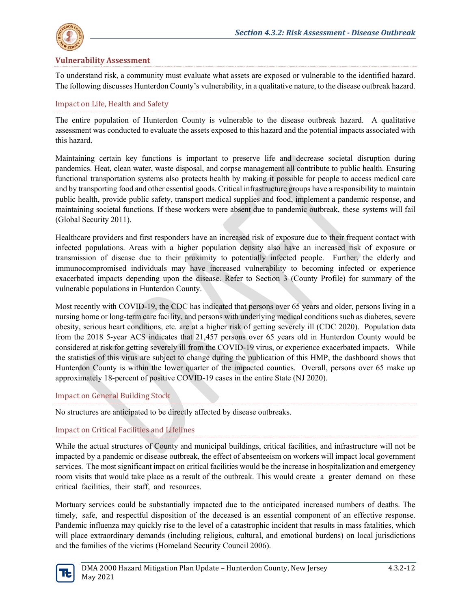

## **Vulnerability Assessment**

To understand risk, a community must evaluate what assets are exposed or vulnerable to the identified hazard. The following discusses Hunterdon County's vulnerability, in a qualitative nature, to the disease outbreak hazard.

## Impact on Life, Health and Safety

The entire population of Hunterdon County is vulnerable to the disease outbreak hazard. A qualitative assessment was conducted to evaluate the assets exposed to this hazard and the potential impacts associated with this hazard.

Maintaining certain key functions is important to preserve life and decrease societal disruption during pandemics. Heat, clean water, waste disposal, and corpse management all contribute to public health. Ensuring functional transportation systems also protects health by making it possible for people to access medical care and by transporting food and other essential goods. Critical infrastructure groups have a responsibility to maintain public health, provide public safety, transport medical supplies and food, implement a pandemic response, and maintaining societal functions. If these workers were absent due to pandemic outbreak, these systems will fail (Global Security 2011).

Healthcare providers and first responders have an increased risk of exposure due to their frequent contact with infected populations. Areas with a higher population density also have an increased risk of exposure or transmission of disease due to their proximity to potentially infected people. Further, the elderly and immunocompromised individuals may have increased vulnerability to becoming infected or experience exacerbated impacts depending upon the disease. Refer to Section 3 (County Profile) for summary of the vulnerable populations in Hunterdon County.

Most recently with COVID-19, the CDC has indicated that persons over 65 years and older, persons living in a nursing home or long-term care facility, and persons with underlying medical conditions such as diabetes, severe obesity, serious heart conditions, etc. are at a higher risk of getting severely ill (CDC 2020). Population data from the 2018 5-year ACS indicates that 21,457 persons over 65 years old in Hunterdon County would be considered at risk for getting severely ill from the COVID-19 virus, or experience exacerbated impacts. While the statistics of this virus are subject to change during the publication of this HMP, the dashboard shows that Hunterdon County is within the lower quarter of the impacted counties. Overall, persons over 65 make up approximately 18-percent of positive COVID-19 cases in the entire State (NJ 2020).

## Impact on General Building Stock

No structures are anticipated to be directly affected by disease outbreaks.

## Impact on Critical Facilities and Lifelines

While the actual structures of County and municipal buildings, critical facilities, and infrastructure will not be impacted by a pandemic or disease outbreak, the effect of absenteeism on workers will impact local government services. The most significant impact on critical facilities would be the increase in hospitalization and emergency room visits that would take place as a result of the outbreak. This would create a greater demand on these critical facilities, their staff, and resources.

Mortuary services could be substantially impacted due to the anticipated increased numbers of deaths. The timely, safe, and respectful disposition of the deceased is an essential component of an effective response. Pandemic influenza may quickly rise to the level of a catastrophic incident that results in mass fatalities, which will place extraordinary demands (including religious, cultural, and emotional burdens) on local jurisdictions and the families of the victims (Homeland Security Council 2006).

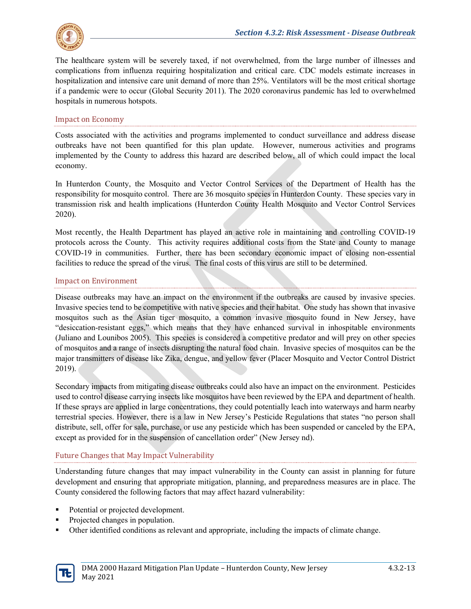

The healthcare system will be severely taxed, if not overwhelmed, from the large number of illnesses and complications from influenza requiring hospitalization and critical care. CDC models estimate increases in hospitalization and intensive care unit demand of more than 25%. Ventilators will be the most critical shortage if a pandemic were to occur (Global Security 2011). The 2020 coronavirus pandemic has led to overwhelmed hospitals in numerous hotspots.

## Impact on Economy

Costs associated with the activities and programs implemented to conduct surveillance and address disease outbreaks have not been quantified for this plan update. However, numerous activities and programs implemented by the County to address this hazard are described below, all of which could impact the local economy.

In Hunterdon County, the Mosquito and Vector Control Services of the Department of Health has the responsibility for mosquito control. There are 36 mosquito species in Hunterdon County. These species vary in transmission risk and health implications (Hunterdon County Health Mosquito and Vector Control Services 2020).

Most recently, the Health Department has played an active role in maintaining and controlling COVID-19 protocols across the County. This activity requires additional costs from the State and County to manage COVID-19 in communities. Further, there has been secondary economic impact of closing non-essential facilities to reduce the spread of the virus. The final costs of this virus are still to be determined.

## Impact on Environment

Disease outbreaks may have an impact on the environment if the outbreaks are caused by invasive species. Invasive species tend to be competitive with native species and their habitat. One study has shown that invasive mosquitos such as the Asian tiger mosquito, a common invasive mosquito found in New Jersey, have "desiccation-resistant eggs," which means that they have enhanced survival in inhospitable environments (Juliano and Lounibos 2005). This species is considered a competitive predator and will prey on other species of mosquitos and a range of insects disrupting the natural food chain. Invasive species of mosquitos can be the major transmitters of disease like Zika, dengue, and yellow fever (Placer Mosquito and Vector Control District 2019).

Secondary impacts from mitigating disease outbreaks could also have an impact on the environment. Pesticides used to control disease carrying insects like mosquitos have been reviewed by the EPA and department of health. If these sprays are applied in large concentrations, they could potentially leach into waterways and harm nearby terrestrial species. However, there is a law in New Jersey's Pesticide Regulations that states "no person shall distribute, sell, offer for sale, purchase, or use any pesticide which has been suspended or canceled by the EPA, except as provided for in the suspension of cancellation order" (New Jersey nd).

# Future Changes that May Impact Vulnerability

Understanding future changes that may impact vulnerability in the County can assist in planning for future development and ensuring that appropriate mitigation, planning, and preparedness measures are in place. The County considered the following factors that may affect hazard vulnerability:

- Potential or projected development.
- Projected changes in population.
- Other identified conditions as relevant and appropriate, including the impacts of climate change.